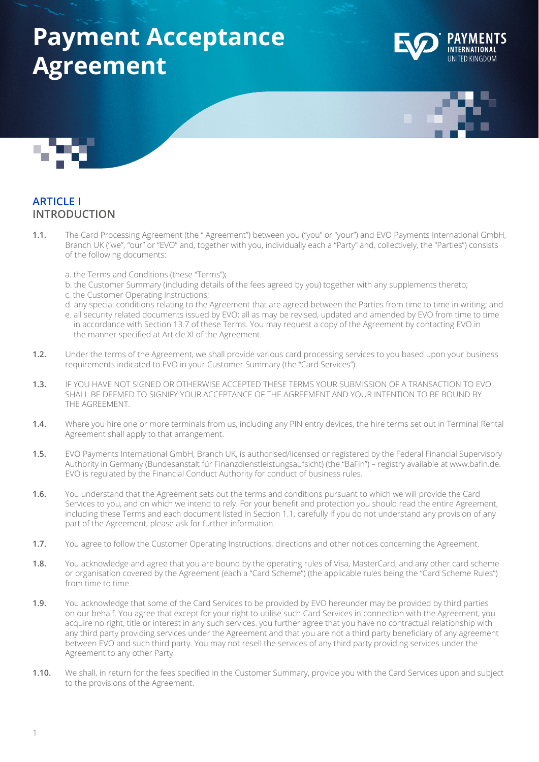# **Payment Acceptance Agreement**







#### **ARTICLE I INTRODUCTION**

- **1.1.** The Card Processing Agreement (the " Agreement") between you ("you" or "your") and EVO Payments International GmbH, Branch UK ("we", "our" or "EVO" and, together with you, individually each a "Party" and, collectively, the "Parties") consists of the following documents:
	- a. the Terms and Conditions (these "Terms");
	- b. the Customer Summary (including details of the fees agreed by you) together with any supplements thereto;
	- c. the Customer Operating Instructions;
	- d. any special conditions relating to the Agreement that are agreed between the Parties from time to time in writing; and
	- e. all security related documents issued by EVO; all as may be revised, updated and amended by EVO from time to time in accordance with Section 13.7 of these Terms. You may request a copy of the Agreement by contacting EVO in the manner specified at Article XI of the Agreement.
- **1.2.** Under the terms of the Agreement, we shall provide various card processing services to you based upon your business requirements indicated to EVO in your Customer Summary (the "Card Services").
- **1.3.** IF YOU HAVE NOT SIGNED OR OTHERWISE ACCEPTED THESE TERMS YOUR SUBMISSION OF A TRANSACTION TO EVO SHALL BE DEEMED TO SIGNIFY YOUR ACCEPTANCE OF THE AGREEMENT AND YOUR INTENTION TO BE BOUND BY THE AGREEMENT.
- **1.4.** Where you hire one or more terminals from us, including any PIN entry devices, the hire terms set out in Terminal Rental Agreement shall apply to that arrangement.
- **1.5.** EVO Payments International GmbH, Branch UK, is authorised/licensed or registered by the Federal Financial Supervisory Authority in Germany (Bundesanstalt für Finanzdienstleistungsaufsicht) (the "BaFin") – registry available at www.bafin.de. EVO is regulated by the Financial Conduct Authority for conduct of business rules.
- **1.6.** You understand that the Agreement sets out the terms and conditions pursuant to which we will provide the Card Services to you, and on which we intend to rely. For your benefit and protection you should read the entire Agreement, including these Terms and each document listed in Section 1.1, carefully If you do not understand any provision of any part of the Agreement, please ask for further information.
- **1.7.** You agree to follow the Customer Operating Instructions, directions and other notices concerning the Agreement.
- **1.8.** You acknowledge and agree that you are bound by the operating rules of Visa, MasterCard, and any other card scheme or organisation covered by the Agreement (each a "Card Scheme") (the applicable rules being the "Card Scheme Rules") from time to time.
- **1.9.** You acknowledge that some of the Card Services to be provided by EVO hereunder may be provided by third parties on our behalf. You agree that except for your right to utilise such Card Services in connection with the Agreement, you acquire no right, title or interest in any such services. you further agree that you have no contractual relationship with any third party providing services under the Agreement and that you are not a third party beneficiary of any agreement between EVO and such third party. You may not resell the services of any third party providing services under the Agreement to any other Party.
- **1.10.** We shall, in return for the fees specified in the Customer Summary, provide you with the Card Services upon and subject to the provisions of the Agreement.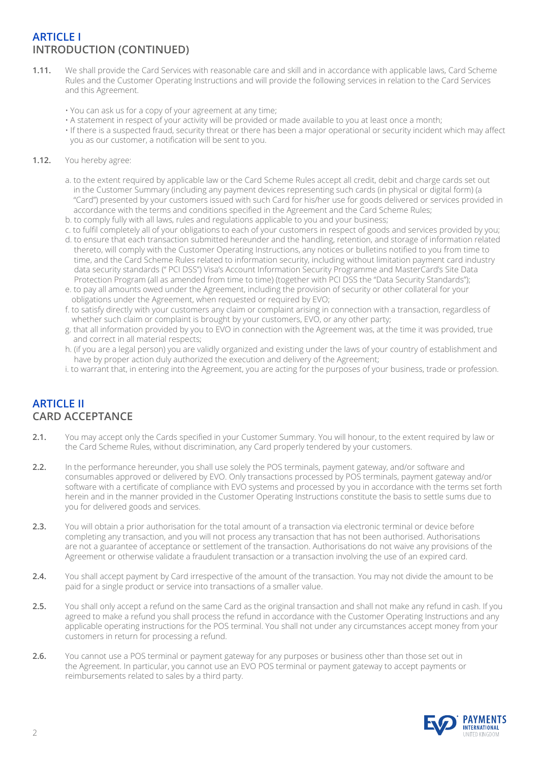# **ARTICLE I INTRODUCTION (CONTINUED)**

- **1.11.** We shall provide the Card Services with reasonable care and skill and in accordance with applicable laws, Card Scheme Rules and the Customer Operating Instructions and will provide the following services in relation to the Card Services and this Agreement.
	- You can ask us for a copy of your agreement at any time;
	- A statement in respect of your activity will be provided or made available to you at least once a month;
	- If there is a suspected fraud, security threat or there has been a major operational or security incident which may affect you as our customer, a notification will be sent to you.

#### **1.12.** You hereby agree:

- a. to the extent required by applicable law or the Card Scheme Rules accept all credit, debit and charge cards set out in the Customer Summary (including any payment devices representing such cards (in physical or digital form) (a "Card") presented by your customers issued with such Card for his/her use for goods delivered or services provided in accordance with the terms and conditions specified in the Agreement and the Card Scheme Rules;
- b. to comply fully with all laws, rules and regulations applicable to you and your business;
- c. to fulfil completely all of your obligations to each of your customers in respect of goods and services provided by you;
- d. to ensure that each transaction submitted hereunder and the handling, retention, and storage of information related thereto, will comply with the Customer Operating Instructions, any notices or bulletins notified to you from time to time, and the Card Scheme Rules related to information security, including without limitation payment card industry data security standards (" PCI DSS") Visa's Account Information Security Programme and MasterCard's Site Data Protection Program (all as amended from time to time) (together with PCI DSS the "Data Security Standards");
- e. to pay all amounts owed under the Agreement, including the provision of security or other collateral for your obligations under the Agreement, when requested or required by EVO;
- f. to satisfy directly with your customers any claim or complaint arising in connection with a transaction, regardless of whether such claim or complaint is brought by your customers, EVO, or any other party;
- g. that all information provided by you to EVO in connection with the Agreement was, at the time it was provided, true and correct in all material respects;
- h. (if you are a legal person) you are validly organized and existing under the laws of your country of establishment and have by proper action duly authorized the execution and delivery of the Agreement;
- i. to warrant that, in entering into the Agreement, you are acting for the purposes of your business, trade or profession.

# **ARTICLE II CARD ACCEPTANCE**

- **2.1.** You may accept only the Cards specified in your Customer Summary. You will honour, to the extent required by law or the Card Scheme Rules, without discrimination, any Card properly tendered by your customers.
- **2.2.** In the performance hereunder, you shall use solely the POS terminals, payment gateway, and/or software and consumables approved or delivered by EVO. Only transactions processed by POS terminals, payment gateway and/or software with a certificate of compliance with EVO systems and processed by you in accordance with the terms set forth herein and in the manner provided in the Customer Operating Instructions constitute the basis to settle sums due to you for delivered goods and services.
- **2.3.** You will obtain a prior authorisation for the total amount of a transaction via electronic terminal or device before completing any transaction, and you will not process any transaction that has not been authorised. Authorisations are not a guarantee of acceptance or settlement of the transaction. Authorisations do not waive any provisions of the Agreement or otherwise validate a fraudulent transaction or a transaction involving the use of an expired card.
- **2.4.** You shall accept payment by Card irrespective of the amount of the transaction. You may not divide the amount to be paid for a single product or service into transactions of a smaller value.
- **2.5.** You shall only accept a refund on the same Card as the original transaction and shall not make any refund in cash. If you agreed to make a refund you shall process the refund in accordance with the Customer Operating Instructions and any applicable operating instructions for the POS terminal. You shall not under any circumstances accept money from your customers in return for processing a refund.
- **2.6.** You cannot use a POS terminal or payment gateway for any purposes or business other than those set out in the Agreement. In particular, you cannot use an EVO POS terminal or payment gateway to accept payments or reimbursements related to sales by a third party.

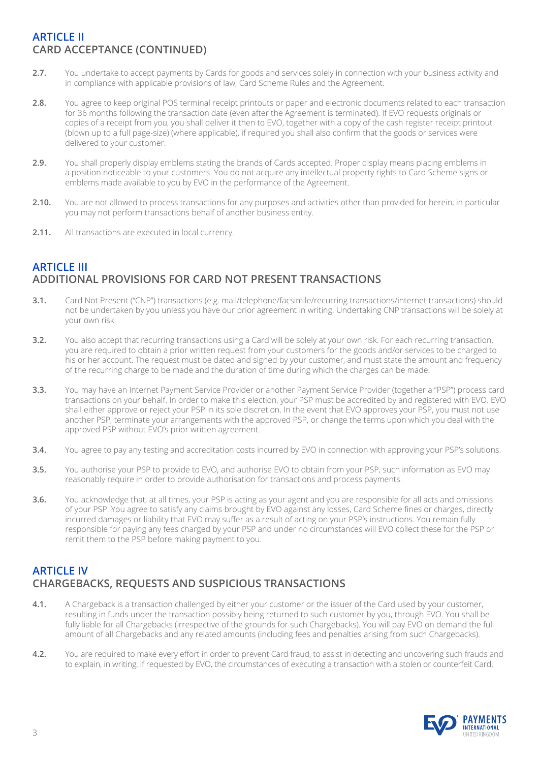# **ARTICLE II CARD ACCEPTANCE (CONTINUED)**

- **2.7.** You undertake to accept payments by Cards for goods and services solely in connection with your business activity and in compliance with applicable provisions of law, Card Scheme Rules and the Agreement.
- **2.8.** You agree to keep original POS terminal receipt printouts or paper and electronic documents related to each transaction for 36 months following the transaction date (even after the Agreement is terminated). If EVO requests originals or copies of a receipt from you, you shall deliver it then to EVO, together with a copy of the cash register receipt printout (blown up to a full page-size) (where applicable), if required you shall also confirm that the goods or services were delivered to your customer.
- **2.9.** You shall properly display emblems stating the brands of Cards accepted. Proper display means placing emblems in a position noticeable to your customers. You do not acquire any intellectual property rights to Card Scheme signs or emblems made available to you by EVO in the performance of the Agreement.
- **2.10.** You are not allowed to process transactions for any purposes and activities other than provided for herein, in particular you may not perform transactions behalf of another business entity.
- **2.11.** All transactions are executed in local currency.

# **ARTICLE III ADDITIONAL PROVISIONS FOR CARD NOT PRESENT TRANSACTIONS**

- **3.1.** Card Not Present ("CNP") transactions (e.g. mail/telephone/facsimile/recurring transactions/internet transactions) should not be undertaken by you unless you have our prior agreement in writing. Undertaking CNP transactions will be solely at your own risk.
- **3.2.** You also accept that recurring transactions using a Card will be solely at your own risk. For each recurring transaction, you are required to obtain a prior written request from your customers for the goods and/or services to be charged to his or her account. The request must be dated and signed by your customer, and must state the amount and frequency of the recurring charge to be made and the duration of time during which the charges can be made.
- **3.3.** You may have an Internet Payment Service Provider or another Payment Service Provider (together a "PSP") process card transactions on your behalf. In order to make this election, your PSP must be accredited by and registered with EVO. EVO shall either approve or reject your PSP in its sole discretion. In the event that EVO approves your PSP, you must not use another PSP, terminate your arrangements with the approved PSP, or change the terms upon which you deal with the approved PSP without EVO's prior written agreement.
- **3.4.** You agree to pay any testing and accreditation costs incurred by EVO in connection with approving your PSP's solutions.
- **3.5.** You authorise your PSP to provide to EVO, and authorise EVO to obtain from your PSP, such information as EVO may reasonably require in order to provide authorisation for transactions and process payments.
- **3.6.** You acknowledge that, at all times, your PSP is acting as your agent and you are responsible for all acts and omissions of your PSP. You agree to satisfy any claims brought by EVO against any losses, Card Scheme fines or charges, directly incurred damages or liability that EVO may suffer as a result of acting on your PSP's instructions. You remain fully responsible for paying any fees charged by your PSP and under no circumstances will EVO collect these for the PSP or remit them to the PSP before making payment to you.

# **ARTICLE IV CHARGEBACKS, REQUESTS AND SUSPICIOUS TRANSACTIONS**

- **4.1.** A Chargeback is a transaction challenged by either your customer or the issuer of the Card used by your customer, resulting in funds under the transaction possibly being returned to such customer by you, through EVO. You shall be fully liable for all Chargebacks (irrespective of the grounds for such Chargebacks). You will pay EVO on demand the full amount of all Chargebacks and any related amounts (including fees and penalties arising from such Chargebacks).
- **4.2.** You are required to make every effort in order to prevent Card fraud, to assist in detecting and uncovering such frauds and to explain, in writing, if requested by EVO, the circumstances of executing a transaction with a stolen or counterfeit Card.

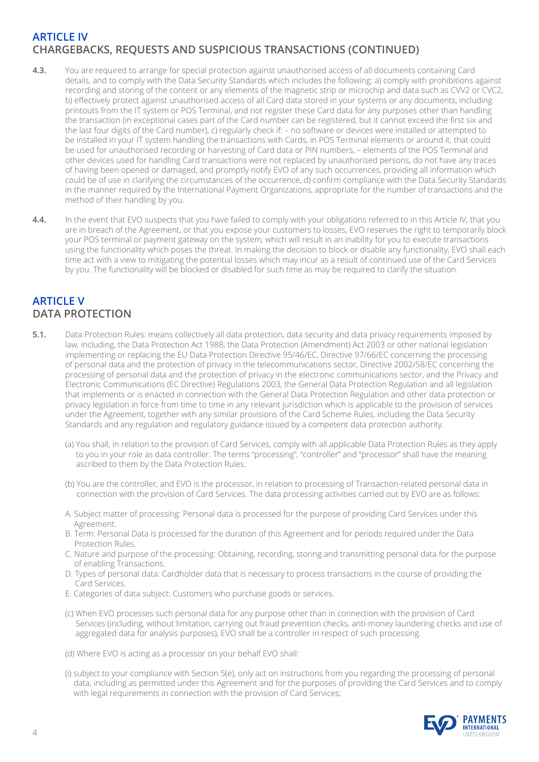# **ARTICLE IV CHARGEBACKS, REQUESTS AND SUSPICIOUS TRANSACTIONS (CONTINUED)**

- **4.3.** You are required to arrange for special protection against unauthorised access of all documents containing Card details, and to comply with the Data Security Standards which includes the following: a) comply with prohibitions against recording and storing of the content or any elements of the magnetic strip or microchip and data such as CVV2 or CVC2, b) effectively protect against unauthorised access of all Card data stored in your systems or any documents, including printouts from the IT system or POS Terminal, and not register these Card data for any purposes other than handling the transaction (in exceptional cases part of the Card number can be registered, but it cannot exceed the first six and the last four digits of the Card number), c) regularly check if: – no software or devices were installed or attempted to be installed in your IT system handling the transactions with Cards, in POS Terminal elements or around it, that could be used for unauthorised recording or harvesting of Card data or PIN numbers, – elements of the POS Terminal and other devices used for handling Card transactions were not replaced by unauthorised persons, do not have any traces of having been opened or damaged, and promptly notify EVO of any such occurrences, providing all information which could be of use in clarifying the circumstances of the occurrence, d) confirm compliance with the Data Security Standards in the manner required by the International Payment Organizations, appropriate for the number of transactions and the method of their handling by you.
- **4.4.** In the event that EVO suspects that you have failed to comply with your obligations referred to in this Article IV, that you are in breach of the Agreement, or that you expose your customers to losses, EVO reserves the right to temporarily block your POS terminal or payment gateway on the system, which will result in an inability for you to execute transactions using the functionality which poses the threat. In making the decision to block or disable any functionality, EVO shall each time act with a view to mitigating the potential losses which may incur as a result of continued use of the Card Services by you. The functionality will be blocked or disabled for such time as may be required to clarify the situation.

#### **ARTICLE V DATA PROTECTION**

- **5.1.** Data Protection Rules: means collectively all data protection, data security and data privacy requirements imposed by law, including, the Data Protection Act 1988, the Data Protection (Amendment) Act 2003 or other national legislation implementing or replacing the EU Data Protection Directive 95/46/EC, Directive 97/66/EC concerning the processing of personal data and the protection of privacy in the telecommunications sector, Directive 2002/58/EC concerning the processing of personal data and the protection of privacy in the electronic communications sector, and the Privacy and Electronic Communications (EC Directive) Regulations 2003, the General Data Protection Regulation and all legislation that implements or is enacted in connection with the General Data Protection Regulation and other data protection or privacy legislation in force from time to time in any relevant jurisdiction which is applicable to the provision of services under the Agreement, together with any similar provisions of the Card Scheme Rules, including the Data Security Standards and any regulation and regulatory guidance issued by a competent data protection authority.
	- (a) You shall, in relation to the provision of Card Services, comply with all applicable Data Protection Rules as they apply to you in your role as data controller. The terms "processing", "controller" and "processor" shall have the meaning ascribed to them by the Data Protection Rules.
	- (b) You are the controller, and EVO is the processor, in relation to processing of Transaction-related personal data in connection with the provision of Card Services. The data processing activities carried out by EVO are as follows:
	- A. Subject matter of processing: Personal data is processed for the purpose of providing Card Services under this Agreement.
	- B. Term: Personal Data is processed for the duration of this Agreement and for periods required under the Data Protection Rules.
	- C. Nature and purpose of the processing: Obtaining, recording, storing and transmitting personal data for the purpose of enabling Transactions.
	- D. Types of personal data: Cardholder data that is necessary to process transactions in the course of providing the Card Services.
	- E. Categories of data subject: Customers who purchase goods or services.
	- (c) When EVO processes such personal data for any purpose other than in connection with the provision of Card Services (including, without limitation, carrying out fraud prevention checks, anti-money laundering checks and use of aggregated data for analysis purposes), EVO shall be a controller in respect of such processing.
	- (d) Where EVO is acting as a processor on your behalf EVO shall:
	- (i) subject to your compliance with Section 5(e), only act on instructions from you regarding the processing of personal data, including as permitted under this Agreement and for the purposes of providing the Card Services and to comply with legal requirements in connection with the provision of Card Services;

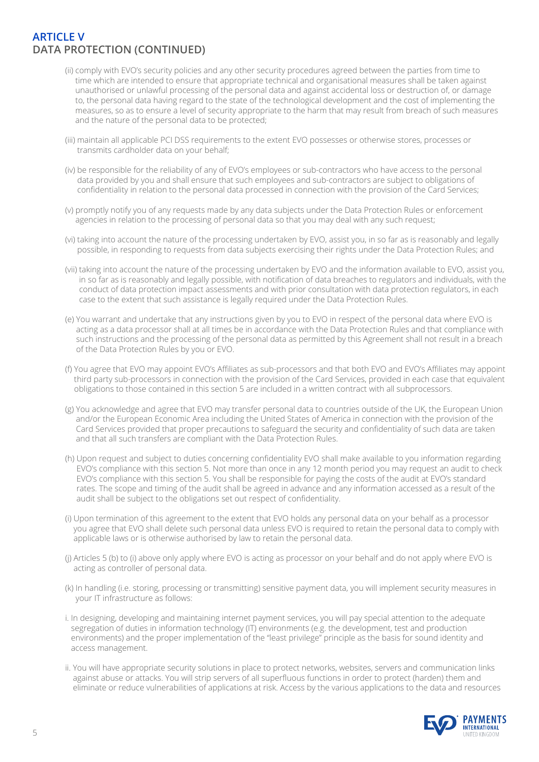# **ARTICLE V DATA PROTECTION (CONTINUED)**

- (ii) comply with EVO's security policies and any other security procedures agreed between the parties from time to time which are intended to ensure that appropriate technical and organisational measures shall be taken against unauthorised or unlawful processing of the personal data and against accidental loss or destruction of, or damage to, the personal data having regard to the state of the technological development and the cost of implementing the measures, so as to ensure a level of security appropriate to the harm that may result from breach of such measures and the nature of the personal data to be protected;
- (iii) maintain all applicable PCI DSS requirements to the extent EVO possesses or otherwise stores, processes or transmits cardholder data on your behalf;
- (iv) be responsible for the reliability of any of EVO's employees or sub-contractors who have access to the personal data provided by you and shall ensure that such employees and sub-contractors are subject to obligations of confidentiality in relation to the personal data processed in connection with the provision of the Card Services;
- (v) promptly notify you of any requests made by any data subjects under the Data Protection Rules or enforcement agencies in relation to the processing of personal data so that you may deal with any such request;
- (vi) taking into account the nature of the processing undertaken by EVO, assist you, in so far as is reasonably and legally possible, in responding to requests from data subjects exercising their rights under the Data Protection Rules; and
- (vii) taking into account the nature of the processing undertaken by EVO and the information available to EVO, assist you, in so far as is reasonably and legally possible, with notification of data breaches to regulators and individuals, with the conduct of data protection impact assessments and with prior consultation with data protection regulators, in each case to the extent that such assistance is legally required under the Data Protection Rules.
- (e) You warrant and undertake that any instructions given by you to EVO in respect of the personal data where EVO is acting as a data processor shall at all times be in accordance with the Data Protection Rules and that compliance with such instructions and the processing of the personal data as permitted by this Agreement shall not result in a breach of the Data Protection Rules by you or EVO.
- (f) You agree that EVO may appoint EVO's Affiliates as sub-processors and that both EVO and EVO's Affiliates may appoint third party sub-processors in connection with the provision of the Card Services, provided in each case that equivalent obligations to those contained in this section 5 are included in a written contract with all subprocessors.
- (g) You acknowledge and agree that EVO may transfer personal data to countries outside of the UK, the European Union and/or the European Economic Area including the United States of America in connection with the provision of the Card Services provided that proper precautions to safeguard the security and confidentiality of such data are taken and that all such transfers are compliant with the Data Protection Rules.
- (h) Upon request and subject to duties concerning confidentiality EVO shall make available to you information regarding EVO's compliance with this section 5. Not more than once in any 12 month period you may request an audit to check EVO's compliance with this section 5. You shall be responsible for paying the costs of the audit at EVO's standard rates. The scope and timing of the audit shall be agreed in advance and any information accessed as a result of the audit shall be subject to the obligations set out respect of confidentiality.
- (i) Upon termination of this agreement to the extent that EVO holds any personal data on your behalf as a processor you agree that EVO shall delete such personal data unless EVO is required to retain the personal data to comply with applicable laws or is otherwise authorised by law to retain the personal data.
- (j) Articles 5 (b) to (i) above only apply where EVO is acting as processor on your behalf and do not apply where EVO is acting as controller of personal data.
- (k) In handling (i.e. storing, processing or transmitting) sensitive payment data, you will implement security measures in your IT infrastructure as follows:
- i. In designing, developing and maintaining internet payment services, you will pay special attention to the adequate segregation of duties in information technology (IT) environments (e.g. the development, test and production environments) and the proper implementation of the "least privilege" principle as the basis for sound identity and access management.
- ii. You will have appropriate security solutions in place to protect networks, websites, servers and communication links against abuse or attacks. You will strip servers of all superfluous functions in order to protect (harden) them and eliminate or reduce vulnerabilities of applications at risk. Access by the various applications to the data and resources

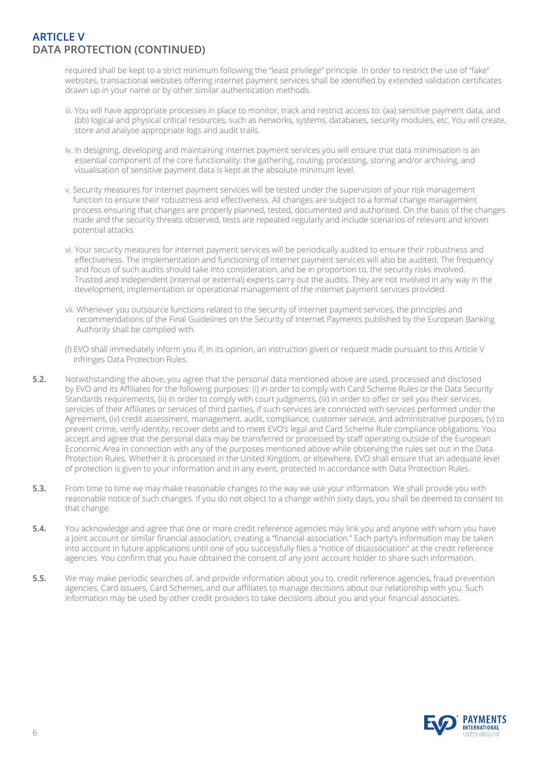### **ARTICLE V DATA PROTECTION (CONTINUED)**

 required shall be kept to a strict minimum following the "least privilege" principle. In order to restrict the use of "fake" websites, transactional websites offering internet payment services shall be identified by extended validation certificates drawn up in your name or by other similar authentication methods.

- iii. You will have appropriate processes in place to monitor, track and restrict access to: (aa) sensitive payment data, and (bb) logical and physical critical resources, such as networks, systems, databases, security modules, etc. You will create, store and analyse appropriate logs and audit trails.
- iv. In designing, developing and maintaining internet payment services you will ensure that data minimisation is an essential component of the core functionality: the gathering, routing, processing, storing and/or archiving, and visualisation of sensitive payment data is kept at the absolute minimum level.
- v. Security measures for internet payment services will be tested under the supervision of your risk management function to ensure their robustness and effectiveness. All changes are subject to a formal change management process ensuring that changes are properly planned, tested, documented and authorised. On the basis of the changes made and the security threats observed, tests are repeated regularly and include scenarios of relevant and known potential attacks.
- vi. Your security measures for internet payment services will be periodically audited to ensure their robustness and effectiveness. The implementation and functioning of internet payment services will also be audited. The frequency and focus of such audits should take into consideration, and be in proportion to, the security risks involved. Trusted and independent (internal or external) experts carry out the audits. They are not involved in any way in the development, implementation or operational management of the internet payment services provided.
- vii. Whenever you outsource functions related to the security of internet payment services, the principles and recommendations of the Final Guidelines on the Security of Internet Payments published by the European Banking Authority shall be complied with.
- (l) EVO shall immediately inform you if, in its opinion, an instruction given or request made pursuant to this Article V infringes Data Protection Rules.
- **5.2.** Notwithstanding the above, you agree that the personal data mentioned above are used, processed and disclosed by EVO and its Affiliates for the following purposes: (i) in order to comply with Card Scheme Rules or the Data Security Standards requirements, (ii) in order to comply with court judgments, (iii) in order to offer or sell you their services, services of their Affiliates or services of third parties, if such services are connected with services performed under the Agreement, (iv) credit assessment, management, audit, compliance, customer service, and administrative purposes, (v) to prevent crime, verify identity, recover debt and to meet EVO's legal and Card Scheme Rule compliance obligations. You accept and agree that the personal data may be transferred or processed by staff operating outside of the European Economic Area in connection with any of the purposes mentioned above while observing the rules set out in the Data Protection Rules. Whether it is processed in the United Kingdom, or elsewhere, EVO shall ensure that an adequate level of protection is given to your information and in any event, protected in accordance with Data Protection Rules.
- **5.3.** From time to time we may make reasonable changes to the way we use your information. We shall provide you with reasonable notice of such changes. If you do not object to a change within sixty days, you shall be deemed to consent to that change.
- **5.4.** You acknowledge and agree that one or more credit reference agencies may link you and anyone with whom you have a joint account or similar financial association, creating a "financial association." Each party's information may be taken into account in future applications until one of you successfully files a "notice of disassociation" at the credit reference agencies. You confirm that you have obtained the consent of any joint account holder to share such information.
- **5.5.** We may make periodic searches of, and provide information about you to, credit reference agencies, fraud prevention agencies, Card issuers, Card Schemes, and our affiliates to manage decisions about our relationship with you. Such information may be used by other credit providers to take decisions about you and your financial associates.

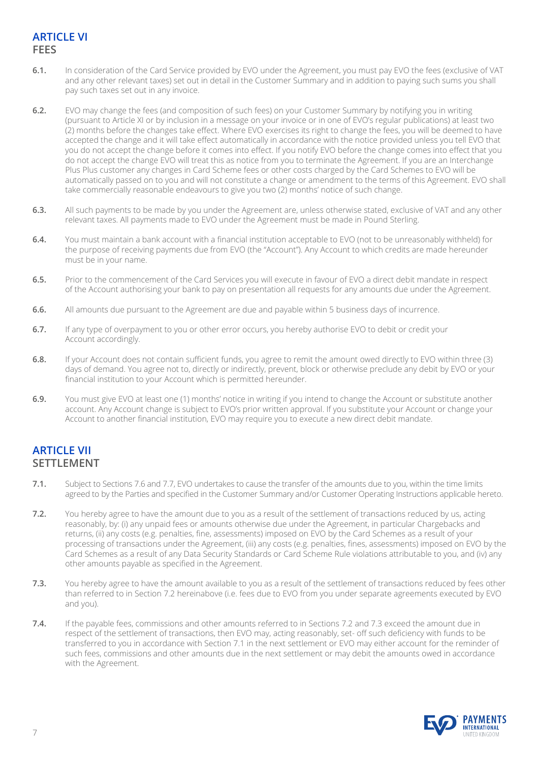# **ARTICLE VI FEES**

- **6.1.** In consideration of the Card Service provided by EVO under the Agreement, you must pay EVO the fees (exclusive of VAT and any other relevant taxes) set out in detail in the Customer Summary and in addition to paying such sums you shall pay such taxes set out in any invoice.
- **6.2.** EVO may change the fees (and composition of such fees) on your Customer Summary by notifying you in writing (pursuant to Article XI or by inclusion in a message on your invoice or in one of EVO's regular publications) at least two (2) months before the changes take effect. Where EVO exercises its right to change the fees, you will be deemed to have accepted the change and it will take effect automatically in accordance with the notice provided unless you tell EVO that you do not accept the change before it comes into effect. If you notify EVO before the change comes into effect that you do not accept the change EVO will treat this as notice from you to terminate the Agreement. If you are an Interchange Plus Plus customer any changes in Card Scheme fees or other costs charged by the Card Schemes to EVO will be automatically passed on to you and will not constitute a change or amendment to the terms of this Agreement. EVO shall take commercially reasonable endeavours to give you two (2) months' notice of such change.
- **6.3.** All such payments to be made by you under the Agreement are, unless otherwise stated, exclusive of VAT and any other relevant taxes. All payments made to EVO under the Agreement must be made in Pound Sterling.
- **6.4.** You must maintain a bank account with a financial institution acceptable to EVO (not to be unreasonably withheld) for the purpose of receiving payments due from EVO (the "Account"). Any Account to which credits are made hereunder must be in your name.
- **6.5.** Prior to the commencement of the Card Services you will execute in favour of EVO a direct debit mandate in respect of the Account authorising your bank to pay on presentation all requests for any amounts due under the Agreement.
- **6.6.** All amounts due pursuant to the Agreement are due and payable within 5 business days of incurrence.
- **6.7.** If any type of overpayment to you or other error occurs, you hereby authorise EVO to debit or credit your Account accordingly.
- **6.8.** If your Account does not contain sufficient funds, you agree to remit the amount owed directly to EVO within three (3) days of demand. You agree not to, directly or indirectly, prevent, block or otherwise preclude any debit by EVO or your financial institution to your Account which is permitted hereunder.
- **6.9.** You must give EVO at least one (1) months' notice in writing if you intend to change the Account or substitute another account. Any Account change is subject to EVO's prior written approval. If you substitute your Account or change your Account to another financial institution, EVO may require you to execute a new direct debit mandate.

#### **ARTICLE VII SETTLEMENT**

- **7.1.** Subject to Sections 7.6 and 7.7, EVO undertakes to cause the transfer of the amounts due to you, within the time limits agreed to by the Parties and specified in the Customer Summary and/or Customer Operating Instructions applicable hereto.
- **7.2.** You hereby agree to have the amount due to you as a result of the settlement of transactions reduced by us, acting reasonably, by: (i) any unpaid fees or amounts otherwise due under the Agreement, in particular Chargebacks and returns, (ii) any costs (e.g. penalties, fine, assessments) imposed on EVO by the Card Schemes as a result of your processing of transactions under the Agreement, (iii) any costs (e.g. penalties, fines, assessments) imposed on EVO by the Card Schemes as a result of any Data Security Standards or Card Scheme Rule violations attributable to you, and (iv) any other amounts payable as specified in the Agreement.
- **7.3.** You hereby agree to have the amount available to you as a result of the settlement of transactions reduced by fees other than referred to in Section 7.2 hereinabove (i.e. fees due to EVO from you under separate agreements executed by EVO and you).
- **7.4.** If the payable fees, commissions and other amounts referred to in Sections 7.2 and 7.3 exceed the amount due in respect of the settlement of transactions, then EVO may, acting reasonably, set- off such deficiency with funds to be transferred to you in accordance with Section 7.1 in the next settlement or EVO may either account for the reminder of such fees, commissions and other amounts due in the next settlement or may debit the amounts owed in accordance with the Agreement.

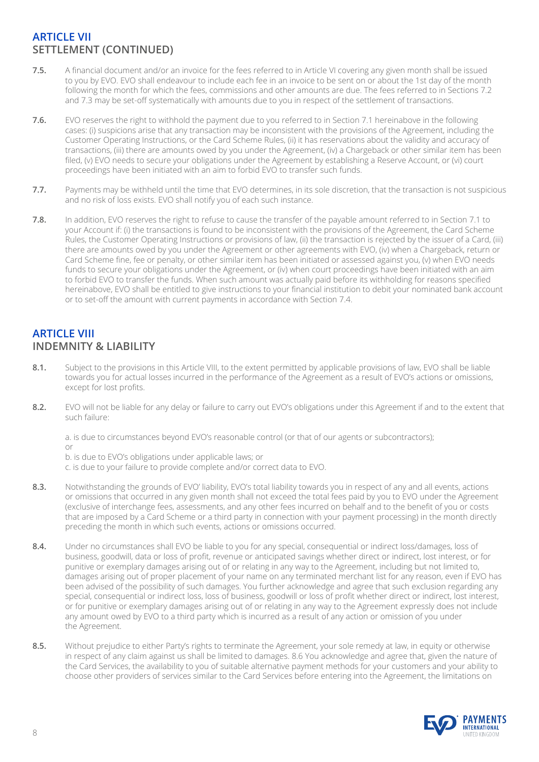# **ARTICLE VII SETTLEMENT (CONTINUED)**

- **7.5.** A financial document and/or an invoice for the fees referred to in Article VI covering any given month shall be issued to you by EVO. EVO shall endeavour to include each fee in an invoice to be sent on or about the 1st day of the month following the month for which the fees, commissions and other amounts are due. The fees referred to in Sections 7.2 and 7.3 may be set-off systematically with amounts due to you in respect of the settlement of transactions.
- **7.6.** EVO reserves the right to withhold the payment due to you referred to in Section 7.1 hereinabove in the following cases: (i) suspicions arise that any transaction may be inconsistent with the provisions of the Agreement, including the Customer Operating Instructions, or the Card Scheme Rules, (ii) it has reservations about the validity and accuracy of transactions, (iii) there are amounts owed by you under the Agreement, (iv) a Chargeback or other similar item has been filed, (v) EVO needs to secure your obligations under the Agreement by establishing a Reserve Account, or (vi) court proceedings have been initiated with an aim to forbid EVO to transfer such funds.
- **7.7.** Payments may be withheld until the time that EVO determines, in its sole discretion, that the transaction is not suspicious and no risk of loss exists. EVO shall notify you of each such instance.
- **7.8.** In addition, EVO reserves the right to refuse to cause the transfer of the payable amount referred to in Section 7.1 to your Account if: (i) the transactions is found to be inconsistent with the provisions of the Agreement, the Card Scheme Rules, the Customer Operating Instructions or provisions of law, (ii) the transaction is rejected by the issuer of a Card, (iii) there are amounts owed by you under the Agreement or other agreements with EVO, (iv) when a Chargeback, return or Card Scheme fine, fee or penalty, or other similar item has been initiated or assessed against you, (v) when EVO needs funds to secure your obligations under the Agreement, or (iv) when court proceedings have been initiated with an aim to forbid EVO to transfer the funds. When such amount was actually paid before its withholding for reasons specified hereinabove, EVO shall be entitled to give instructions to your financial institution to debit your nominated bank account or to set-off the amount with current payments in accordance with Section 7.4.

# **ARTICLE VIII INDEMNITY & LIABILITY**

- **8.1.** Subject to the provisions in this Article VIII, to the extent permitted by applicable provisions of law, EVO shall be liable towards you for actual losses incurred in the performance of the Agreement as a result of EVO's actions or omissions, except for lost profits.
- **8.2.** EVO will not be liable for any delay or failure to carry out EVO's obligations under this Agreement if and to the extent that such failure:

a. is due to circumstances beyond EVO's reasonable control (or that of our agents or subcontractors); or

b. is due to EVO's obligations under applicable laws; or

c. is due to your failure to provide complete and/or correct data to EVO.

- **8.3.** Notwithstanding the grounds of EVO' liability, EVO's total liability towards you in respect of any and all events, actions or omissions that occurred in any given month shall not exceed the total fees paid by you to EVO under the Agreement (exclusive of interchange fees, assessments, and any other fees incurred on behalf and to the benefit of you or costs that are imposed by a Card Scheme or a third party in connection with your payment processing) in the month directly preceding the month in which such events, actions or omissions occurred.
- **8.4.** Under no circumstances shall EVO be liable to you for any special, consequential or indirect loss/damages, loss of business, goodwill, data or loss of profit, revenue or anticipated savings whether direct or indirect, lost interest, or for punitive or exemplary damages arising out of or relating in any way to the Agreement, including but not limited to, damages arising out of proper placement of your name on any terminated merchant list for any reason, even if EVO has been advised of the possibility of such damages. You further acknowledge and agree that such exclusion regarding any special, consequential or indirect loss, loss of business, goodwill or loss of profit whether direct or indirect, lost interest, or for punitive or exemplary damages arising out of or relating in any way to the Agreement expressly does not include any amount owed by EVO to a third party which is incurred as a result of any action or omission of you under the Agreement.
- **8.5.** Without prejudice to either Party's rights to terminate the Agreement, your sole remedy at law, in equity or otherwise in respect of any claim against us shall be limited to damages. 8.6 You acknowledge and agree that, given the nature of the Card Services, the availability to you of suitable alternative payment methods for your customers and your ability to choose other providers of services similar to the Card Services before entering into the Agreement, the limitations on

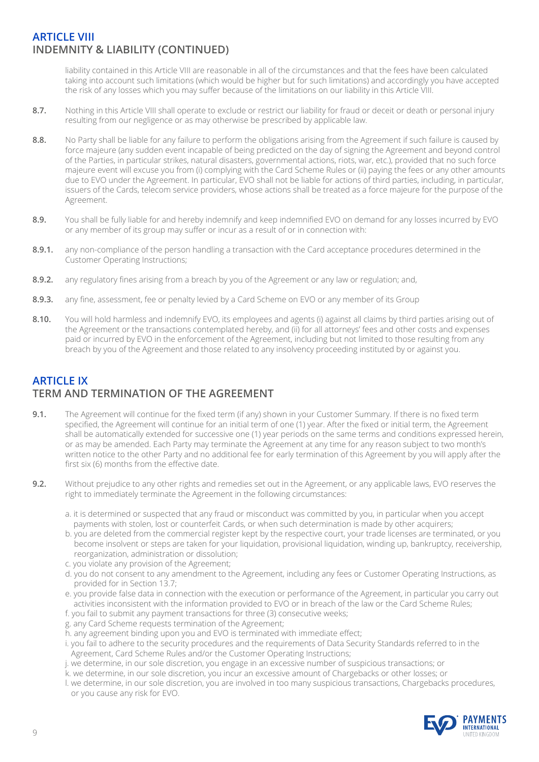# **ARTICLE VIII INDEMNITY & LIABILITY (CONTINUED)**

 liability contained in this Article VIII are reasonable in all of the circumstances and that the fees have been calculated taking into account such limitations (which would be higher but for such limitations) and accordingly you have accepted the risk of any losses which you may suffer because of the limitations on our liability in this Article VIII.

- **8.7.** Nothing in this Article VIII shall operate to exclude or restrict our liability for fraud or deceit or death or personal injury resulting from our negligence or as may otherwise be prescribed by applicable law.
- 8.8. No Party shall be liable for any failure to perform the obligations arising from the Agreement if such failure is caused by force majeure (any sudden event incapable of being predicted on the day of signing the Agreement and beyond control of the Parties, in particular strikes, natural disasters, governmental actions, riots, war, etc.), provided that no such force majeure event will excuse you from (i) complying with the Card Scheme Rules or (ii) paying the fees or any other amounts due to EVO under the Agreement. In particular, EVO shall not be liable for actions of third parties, including, in particular, issuers of the Cards, telecom service providers, whose actions shall be treated as a force majeure for the purpose of the Agreement.
- **8.9.** You shall be fully liable for and hereby indemnify and keep indemnified EVO on demand for any losses incurred by EVO or any member of its group may suffer or incur as a result of or in connection with:
- **8.9.1.** any non-compliance of the person handling a transaction with the Card acceptance procedures determined in the Customer Operating Instructions;
- **8.9.2.** any regulatory fines arising from a breach by you of the Agreement or any law or regulation; and,
- **8.9.3.** any fine, assessment, fee or penalty levied by a Card Scheme on EVO or any member of its Group
- 8.10. You will hold harmless and indemnify EVO, its employees and agents (i) against all claims by third parties arising out of the Agreement or the transactions contemplated hereby, and (ii) for all attorneys' fees and other costs and expenses paid or incurred by EVO in the enforcement of the Agreement, including but not limited to those resulting from any breach by you of the Agreement and those related to any insolvency proceeding instituted by or against you.

# **ARTICLE IX TERM AND TERMINATION OF THE AGREEMENT**

- **9.1.** The Agreement will continue for the fixed term (if any) shown in your Customer Summary. If there is no fixed term specified, the Agreement will continue for an initial term of one (1) year. After the fixed or initial term, the Agreement shall be automatically extended for successive one (1) year periods on the same terms and conditions expressed herein, or as may be amended. Each Party may terminate the Agreement at any time for any reason subject to two month's written notice to the other Party and no additional fee for early termination of this Agreement by you will apply after the first six (6) months from the effective date.
- **9.2.** Without prejudice to any other rights and remedies set out in the Agreement, or any applicable laws, EVO reserves the right to immediately terminate the Agreement in the following circumstances:
	- a. it is determined or suspected that any fraud or misconduct was committed by you, in particular when you accept payments with stolen, lost or counterfeit Cards, or when such determination is made by other acquirers;
	- b. you are deleted from the commercial register kept by the respective court, your trade licenses are terminated, or you become insolvent or steps are taken for your liquidation, provisional liquidation, winding up, bankruptcy, receivership, reorganization, administration or dissolution;
	- c. you violate any provision of the Agreement;
	- d. you do not consent to any amendment to the Agreement, including any fees or Customer Operating Instructions, as provided for in Section 13.7;
	- e. you provide false data in connection with the execution or performance of the Agreement, in particular you carry out activities inconsistent with the information provided to EVO or in breach of the law or the Card Scheme Rules;
	- f. you fail to submit any payment transactions for three (3) consecutive weeks;
	- g. any Card Scheme requests termination of the Agreement;
	- h. any agreement binding upon you and EVO is terminated with immediate effect;
	- i. you fail to adhere to the security procedures and the requirements of Data Security Standards referred to in the Agreement, Card Scheme Rules and/or the Customer Operating Instructions;
	- j. we determine, in our sole discretion, you engage in an excessive number of suspicious transactions; or
	- k. we determine, in our sole discretion, you incur an excessive amount of Chargebacks or other losses; or
	- l. we determine, in our sole discretion, you are involved in too many suspicious transactions, Chargebacks procedures, or you cause any risk for EVO.

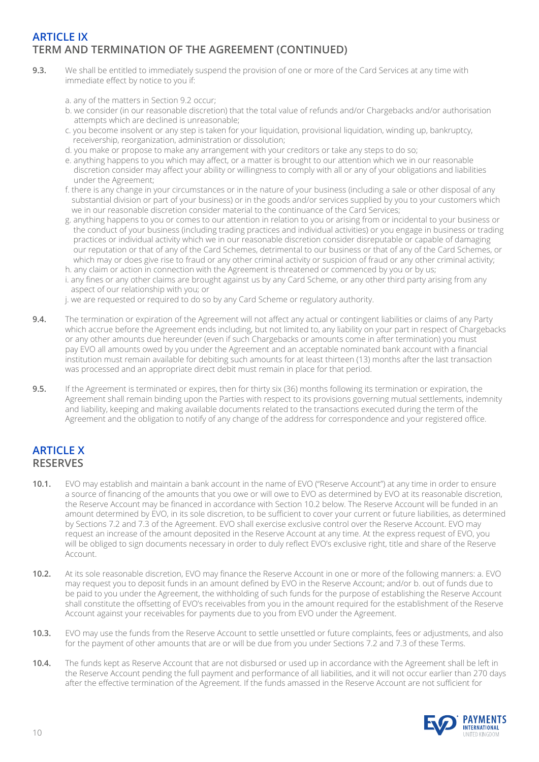# **ARTICLE IX TERM AND TERMINATION OF THE AGREEMENT (CONTINUED)**

- **9.3.** We shall be entitled to immediately suspend the provision of one or more of the Card Services at any time with immediate effect by notice to you if:
	- a. any of the matters in Section 9.2 occur;
	- b. we consider (in our reasonable discretion) that the total value of refunds and/or Chargebacks and/or authorisation attempts which are declined is unreasonable;
	- c. you become insolvent or any step is taken for your liquidation, provisional liquidation, winding up, bankruptcy, receivership, reorganization, administration or dissolution;
	- d. you make or propose to make any arrangement with your creditors or take any steps to do so;
	- e. anything happens to you which may affect, or a matter is brought to our attention which we in our reasonable discretion consider may affect your ability or willingness to comply with all or any of your obligations and liabilities under the Agreement;
	- f. there is any change in your circumstances or in the nature of your business (including a sale or other disposal of any substantial division or part of your business) or in the goods and/or services supplied by you to your customers which we in our reasonable discretion consider material to the continuance of the Card Services;
	- g. anything happens to you or comes to our attention in relation to you or arising from or incidental to your business or the conduct of your business (including trading practices and individual activities) or you engage in business or trading practices or individual activity which we in our reasonable discretion consider disreputable or capable of damaging our reputation or that of any of the Card Schemes, detrimental to our business or that of any of the Card Schemes, or which may or does give rise to fraud or any other criminal activity or suspicion of fraud or any other criminal activity;
	- h. any claim or action in connection with the Agreement is threatened or commenced by you or by us;
	- i. any fines or any other claims are brought against us by any Card Scheme, or any other third party arising from any aspect of our relationship with you; or
	- j. we are requested or required to do so by any Card Scheme or regulatory authority.
- **9.4.** The termination or expiration of the Agreement will not affect any actual or contingent liabilities or claims of any Party which accrue before the Agreement ends including, but not limited to, any liability on your part in respect of Chargebacks or any other amounts due hereunder (even if such Chargebacks or amounts come in after termination) you must pay EVO all amounts owed by you under the Agreement and an acceptable nominated bank account with a financial institution must remain available for debiting such amounts for at least thirteen (13) months after the last transaction was processed and an appropriate direct debit must remain in place for that period.
- **9.5.** If the Agreement is terminated or expires, then for thirty six (36) months following its termination or expiration, the Agreement shall remain binding upon the Parties with respect to its provisions governing mutual settlements, indemnity and liability, keeping and making available documents related to the transactions executed during the term of the Agreement and the obligation to notify of any change of the address for correspondence and your registered office.

# **ARTICLE X RESERVES**

- **10.1.** EVO may establish and maintain a bank account in the name of EVO ("Reserve Account") at any time in order to ensure a source of financing of the amounts that you owe or will owe to EVO as determined by EVO at its reasonable discretion, the Reserve Account may be financed in accordance with Section 10.2 below. The Reserve Account will be funded in an amount determined by EVO, in its sole discretion, to be sufficient to cover your current or future liabilities, as determined by Sections 7.2 and 7.3 of the Agreement. EVO shall exercise exclusive control over the Reserve Account. EVO may request an increase of the amount deposited in the Reserve Account at any time. At the express request of EVO, you will be obliged to sign documents necessary in order to duly reflect EVO's exclusive right, title and share of the Reserve Account.
- **10.2.** At its sole reasonable discretion, EVO may finance the Reserve Account in one or more of the following manners: a. EVO may request you to deposit funds in an amount defined by EVO in the Reserve Account; and/or b. out of funds due to be paid to you under the Agreement, the withholding of such funds for the purpose of establishing the Reserve Account shall constitute the offsetting of EVO's receivables from you in the amount required for the establishment of the Reserve Account against your receivables for payments due to you from EVO under the Agreement.
- **10.3.** EVO may use the funds from the Reserve Account to settle unsettled or future complaints, fees or adjustments, and also for the payment of other amounts that are or will be due from you under Sections 7.2 and 7.3 of these Terms.
- **10.4.** The funds kept as Reserve Account that are not disbursed or used up in accordance with the Agreement shall be left in the Reserve Account pending the full payment and performance of all liabilities, and it will not occur earlier than 270 days after the effective termination of the Agreement. If the funds amassed in the Reserve Account are not sufficient for

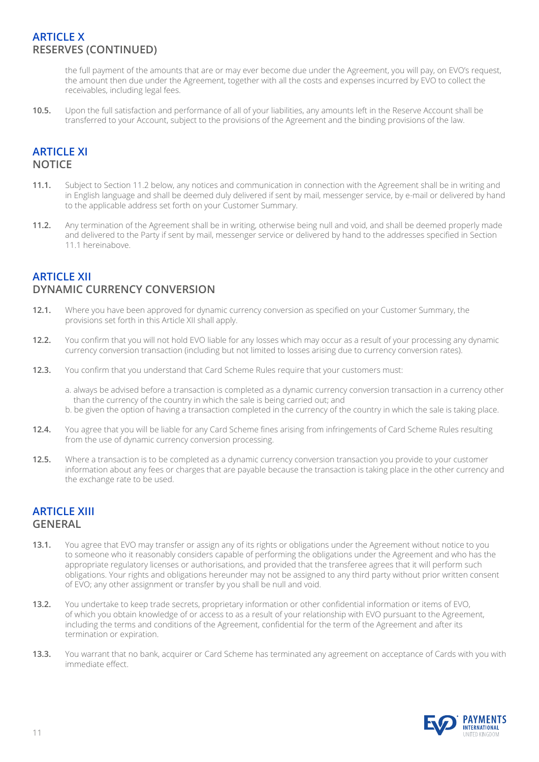# **ARTICLE X RESERVES (CONTINUED)**

 the full payment of the amounts that are or may ever become due under the Agreement, you will pay, on EVO's request, the amount then due under the Agreement, together with all the costs and expenses incurred by EVO to collect the receivables, including legal fees.

**10.5.** Upon the full satisfaction and performance of all of your liabilities, any amounts left in the Reserve Account shall be transferred to your Account, subject to the provisions of the Agreement and the binding provisions of the law.

# **ARTICLE XI NOTICE**

- **11.1.** Subject to Section 11.2 below, any notices and communication in connection with the Agreement shall be in writing and in English language and shall be deemed duly delivered if sent by mail, messenger service, by e-mail or delivered by hand to the applicable address set forth on your Customer Summary.
- **11.2.** Any termination of the Agreement shall be in writing, otherwise being null and void, and shall be deemed properly made and delivered to the Party if sent by mail, messenger service or delivered by hand to the addresses specified in Section 11.1 hereinabove.

# **ARTICLE XII DYNAMIC CURRENCY CONVERSION**

- **12.1.** Where you have been approved for dynamic currency conversion as specified on your Customer Summary, the provisions set forth in this Article XII shall apply.
- **12.2.** You confirm that you will not hold EVO liable for any losses which may occur as a result of your processing any dynamic currency conversion transaction (including but not limited to losses arising due to currency conversion rates).
- **12.3.** You confirm that you understand that Card Scheme Rules require that your customers must:
	- a. always be advised before a transaction is completed as a dynamic currency conversion transaction in a currency other than the currency of the country in which the sale is being carried out; and
	- b. be given the option of having a transaction completed in the currency of the country in which the sale is taking place.
- **12.4.** You agree that you will be liable for any Card Scheme fines arising from infringements of Card Scheme Rules resulting from the use of dynamic currency conversion processing.
- **12.5.** Where a transaction is to be completed as a dynamic currency conversion transaction you provide to your customer information about any fees or charges that are payable because the transaction is taking place in the other currency and the exchange rate to be used.

# **ARTICLE XIII GENERAL**

- 13.1. You agree that EVO may transfer or assign any of its rights or obligations under the Agreement without notice to you to someone who it reasonably considers capable of performing the obligations under the Agreement and who has the appropriate regulatory licenses or authorisations, and provided that the transferee agrees that it will perform such obligations. Your rights and obligations hereunder may not be assigned to any third party without prior written consent of EVO; any other assignment or transfer by you shall be null and void.
- **13.2.** You undertake to keep trade secrets, proprietary information or other confidential information or items of EVO, of which you obtain knowledge of or access to as a result of your relationship with EVO pursuant to the Agreement, including the terms and conditions of the Agreement, confidential for the term of the Agreement and after its termination or expiration.
- **13.3.** You warrant that no bank, acquirer or Card Scheme has terminated any agreement on acceptance of Cards with you with immediate effect.

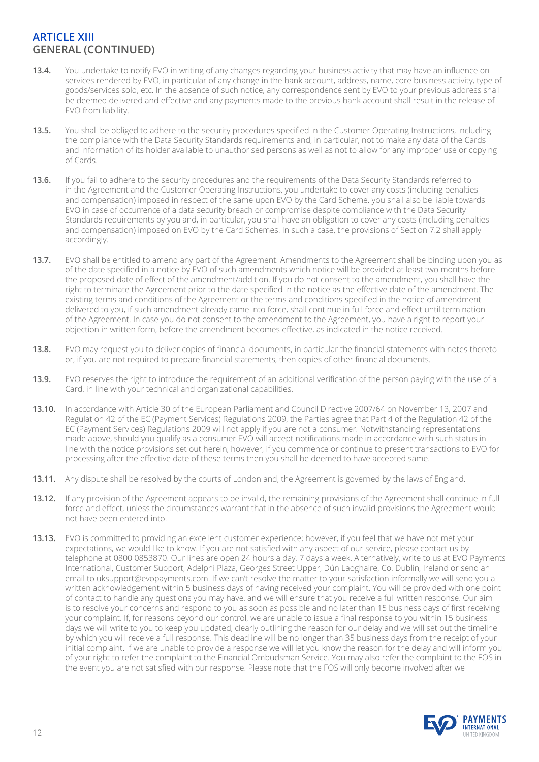# **ARTICLE XIII GENERAL (CONTINUED)**

- 13.4. You undertake to notify EVO in writing of any changes regarding your business activity that may have an influence on services rendered by EVO, in particular of any change in the bank account, address, name, core business activity, type of goods/services sold, etc. In the absence of such notice, any correspondence sent by EVO to your previous address shall be deemed delivered and effective and any payments made to the previous bank account shall result in the release of EVO from liability.
- **13.5.** You shall be obliged to adhere to the security procedures specified in the Customer Operating Instructions, including the compliance with the Data Security Standards requirements and, in particular, not to make any data of the Cards and information of its holder available to unauthorised persons as well as not to allow for any improper use or copying of Cards.
- **13.6.** If you fail to adhere to the security procedures and the requirements of the Data Security Standards referred to in the Agreement and the Customer Operating Instructions, you undertake to cover any costs (including penalties and compensation) imposed in respect of the same upon EVO by the Card Scheme. you shall also be liable towards EVO in case of occurrence of a data security breach or compromise despite compliance with the Data Security Standards requirements by you and, in particular, you shall have an obligation to cover any costs (including penalties and compensation) imposed on EVO by the Card Schemes. In such a case, the provisions of Section 7.2 shall apply accordingly.
- **13.7.** EVO shall be entitled to amend any part of the Agreement. Amendments to the Agreement shall be binding upon you as of the date specified in a notice by EVO of such amendments which notice will be provided at least two months before the proposed date of effect of the amendment/addition. If you do not consent to the amendment, you shall have the right to terminate the Agreement prior to the date specified in the notice as the effective date of the amendment. The existing terms and conditions of the Agreement or the terms and conditions specified in the notice of amendment delivered to you, if such amendment already came into force, shall continue in full force and effect until termination of the Agreement. In case you do not consent to the amendment to the Agreement, you have a right to report your objection in written form, before the amendment becomes effective, as indicated in the notice received.
- **13.8.** EVO may request you to deliver copies of financial documents, in particular the financial statements with notes thereto or, if you are not required to prepare financial statements, then copies of other financial documents.
- **13.9.** EVO reserves the right to introduce the requirement of an additional verification of the person paying with the use of a Card, in line with your technical and organizational capabilities.
- **13.10.** In accordance with Article 30 of the European Parliament and Council Directive 2007/64 on November 13, 2007 and Regulation 42 of the EC (Payment Services) Regulations 2009, the Parties agree that Part 4 of the Regulation 42 of the EC (Payment Services) Regulations 2009 will not apply if you are not a consumer. Notwithstanding representations made above, should you qualify as a consumer EVO will accept notifications made in accordance with such status in line with the notice provisions set out herein, however, if you commence or continue to present transactions to EVO for processing after the effective date of these terms then you shall be deemed to have accepted same.
- **13.11.** Any dispute shall be resolved by the courts of London and, the Agreement is governed by the laws of England.
- **13.12.** If any provision of the Agreement appears to be invalid, the remaining provisions of the Agreement shall continue in full force and effect, unless the circumstances warrant that in the absence of such invalid provisions the Agreement would not have been entered into.
- **13.13.** EVO is committed to providing an excellent customer experience; however, if you feel that we have not met your expectations, we would like to know. If you are not satisfied with any aspect of our service, please contact us by telephone at 0800 0853870. Our lines are open 24 hours a day, 7 days a week. Alternatively, write to us at EVO Payments International, Customer Support, Adelphi Plaza, Georges Street Upper, Dún Laoghaire, Co. Dublin, Ireland or send an email to uksupport@evopayments.com. If we can't resolve the matter to your satisfaction informally we will send you a written acknowledgement within 5 business days of having received your complaint. You will be provided with one point of contact to handle any questions you may have, and we will ensure that you receive a full written response. Our aim is to resolve your concerns and respond to you as soon as possible and no later than 15 business days of first receiving your complaint. If, for reasons beyond our control, we are unable to issue a final response to you within 15 business days we will write to you to keep you updated, clearly outlining the reason for our delay and we will set out the timeline by which you will receive a full response. This deadline will be no longer than 35 business days from the receipt of your initial complaint. If we are unable to provide a response we will let you know the reason for the delay and will inform you of your right to refer the complaint to the Financial Ombudsman Service. You may also refer the complaint to the FOS in the event you are not satisfied with our response. Please note that the FOS will only become involved after we